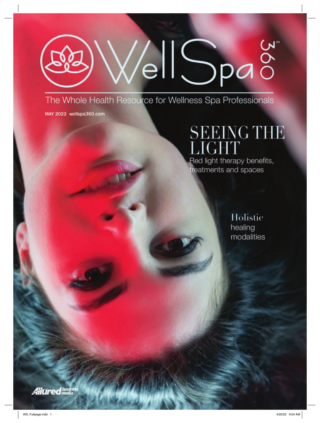# VellSpag

The Whole Health Resource for Wellness Spa Professionals

MAY 2022 wellspa360.com

## **SEEING THE** LIGHT Red light therapy benefits,

treatments and spaces

Holistic healing modalities

**Alittred** busin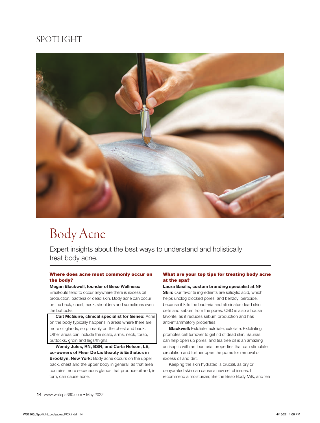### SPOTLIGHT



## Body Acne

Expert insights about the best ways to understand and holistically treat body acne.

#### Where does acne most commonly occur on the body?

#### Megan Blackwell, founder of Beso Wellness:

Breakouts tend to occur anywhere there is excess oil production, bacteria or dead skin. Body acne can occur on the back, chest, neck, shoulders and sometimes even the buttocks.

Cait McGuire, clinical specialist for Geneo: Acne on the body typically happens in areas where there are more oil glands, so primarily on the chest and back. Other areas can include the scalp, arms, neck, torso, buttocks, groin and legs/thighs.

Wendy Jules, RN, BSN, and Carla Nelson, LE, co-owners of Fleur De Lis Beauty & Esthetics in Brooklyn, New York: Body acne occurs on the upper back, chest and the upper body in general, as that area contains more sebaceous glands that produce oil and, in turn, can cause acne.

#### What are your top tips for treating body acne at the spa?

Laura Basilis, custom branding specialist at NF **Skin:** Our favorite ingredients are salicylic acid, which helps unclog blocked pores; and benzoyl peroxide, because it kills the bacteria and eliminates dead skin cells and sebum from the pores. CBD is also a house favorite, as it reduces sebum production and has anti-inflammatory properties.

**Blackwell:** Exfoliate, exfoliate, exfoliate. Exfoliating promotes cell turnover to get rid of dead skin. Saunas can help open up pores, and tea tree oil is an amazing antiseptic with antibacterial properties that can stimulate circulation and further open the pores for removal of excess oil and dirt.

Keeping the skin hydrated is crucial, as dry or dehydrated skin can cause a new set of issues. I recommend a moisturizer, like the Beso Body Milk, and tea